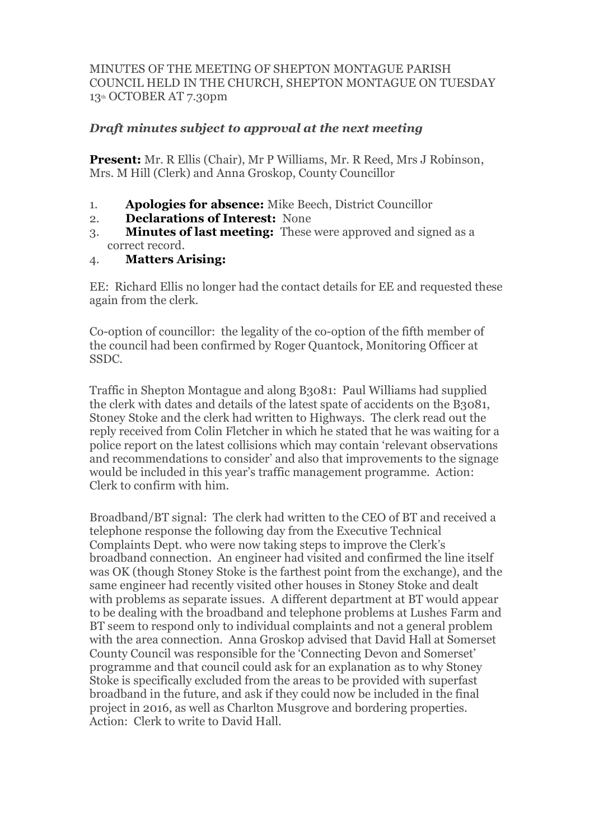## MINUTES OF THE MEETING OF SHEPTON MONTAGUE PARISH COUNCIL HELD IN THE CHURCH, SHEPTON MONTAGUE ON TUESDAY 13th OCTOBER AT 7.30pm

## *Draft minutes subject to approval at the next meeting*

**Present:** Mr. R Ellis (Chair), Mr P Williams, Mr. R Reed, Mrs J Robinson, Mrs. M Hill (Clerk) and Anna Groskop, County Councillor

- 1. **Apologies for absence:** Mike Beech, District Councillor
- 2. **Declarations of Interest:** None
- 3. **Minutes of last meeting:** These were approved and signed as a correct record.
- 4. **Matters Arising:**

EE: Richard Ellis no longer had the contact details for EE and requested these again from the clerk.

Co-option of councillor: the legality of the co-option of the fifth member of the council had been confirmed by Roger Quantock, Monitoring Officer at SSDC.

Traffic in Shepton Montague and along B3081: Paul Williams had supplied the clerk with dates and details of the latest spate of accidents on the B3081, Stoney Stoke and the clerk had written to Highways. The clerk read out the reply received from Colin Fletcher in which he stated that he was waiting for a police report on the latest collisions which may contain 'relevant observations and recommendations to consider' and also that improvements to the signage would be included in this year's traffic management programme. Action: Clerk to confirm with him.

Broadband/BT signal: The clerk had written to the CEO of BT and received a telephone response the following day from the Executive Technical Complaints Dept. who were now taking steps to improve the Clerk's broadband connection. An engineer had visited and confirmed the line itself was OK (though Stoney Stoke is the farthest point from the exchange), and the same engineer had recently visited other houses in Stoney Stoke and dealt with problems as separate issues. A different department at BT would appear to be dealing with the broadband and telephone problems at Lushes Farm and BT seem to respond only to individual complaints and not a general problem with the area connection. Anna Groskop advised that David Hall at Somerset County Council was responsible for the 'Connecting Devon and Somerset' programme and that council could ask for an explanation as to why Stoney Stoke is specifically excluded from the areas to be provided with superfast broadband in the future, and ask if they could now be included in the final project in 2016, as well as Charlton Musgrove and bordering properties. Action: Clerk to write to David Hall.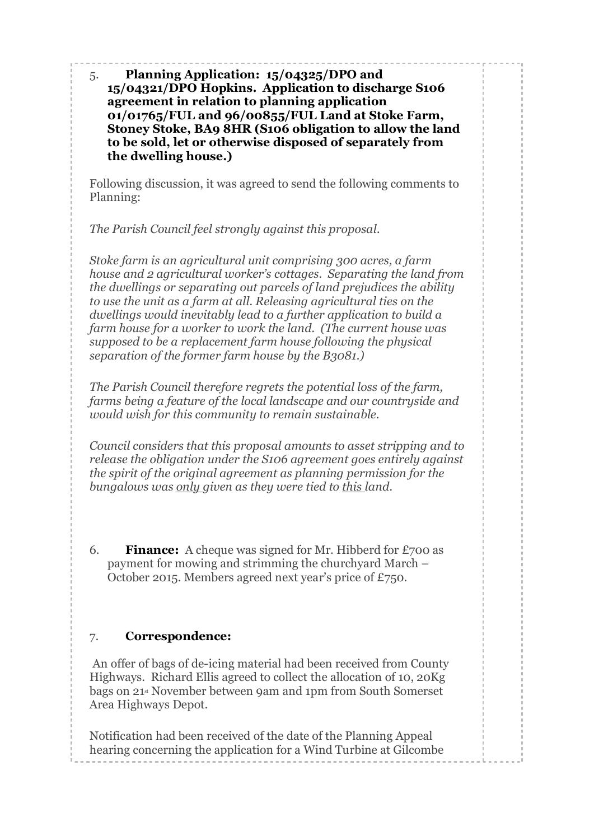5. **Planning Application: 15/04325/DPO and 15/04321/DPO Hopkins. Application to discharge S106 agreement in relation to planning application 01/01765/FUL and 96/00855/FUL Land at Stoke Farm, Stoney Stoke, BA9 8HR (S106 obligation to allow the land to be sold, let or otherwise disposed of separately from the dwelling house.)**

Following discussion, it was agreed to send the following comments to Planning:

*The Parish Council feel strongly against this proposal.*

*Stoke farm is an agricultural unit comprising 300 acres, a farm house and 2 agricultural worker's cottages. Separating the land from the dwellings or separating out parcels of land prejudices the ability to use the unit as a farm at all. Releasing agricultural ties on the dwellings would inevitably lead to a further application to build a farm house for a worker to work the land. (The current house was supposed to be a replacement farm house following the physical separation of the former farm house by the B3081.)*

*The Parish Council therefore regrets the potential loss of the farm, farms being a feature of the local landscape and our countryside and would wish for this community to remain sustainable.*

*Council considers that this proposal amounts to asset stripping and to release the obligation under the S106 agreement goes entirely against the spirit of the original agreement as planning permission for the bungalows was only given as they were tied to this land.*

6. **Finance:** A cheque was signed for Mr. Hibberd for £700 as payment for mowing and strimming the churchyard March – October 2015. Members agreed next year's price of £750.

## 7. **Correspondence:**

An offer of bags of de-icing material had been received from County Highways. Richard Ellis agreed to collect the allocation of 10, 20Kg bags on 21st November between 9am and 1pm from South Somerset Area Highways Depot.

Notification had been received of the date of the Planning Appeal hearing concerning the application for a Wind Turbine at Gilcombe